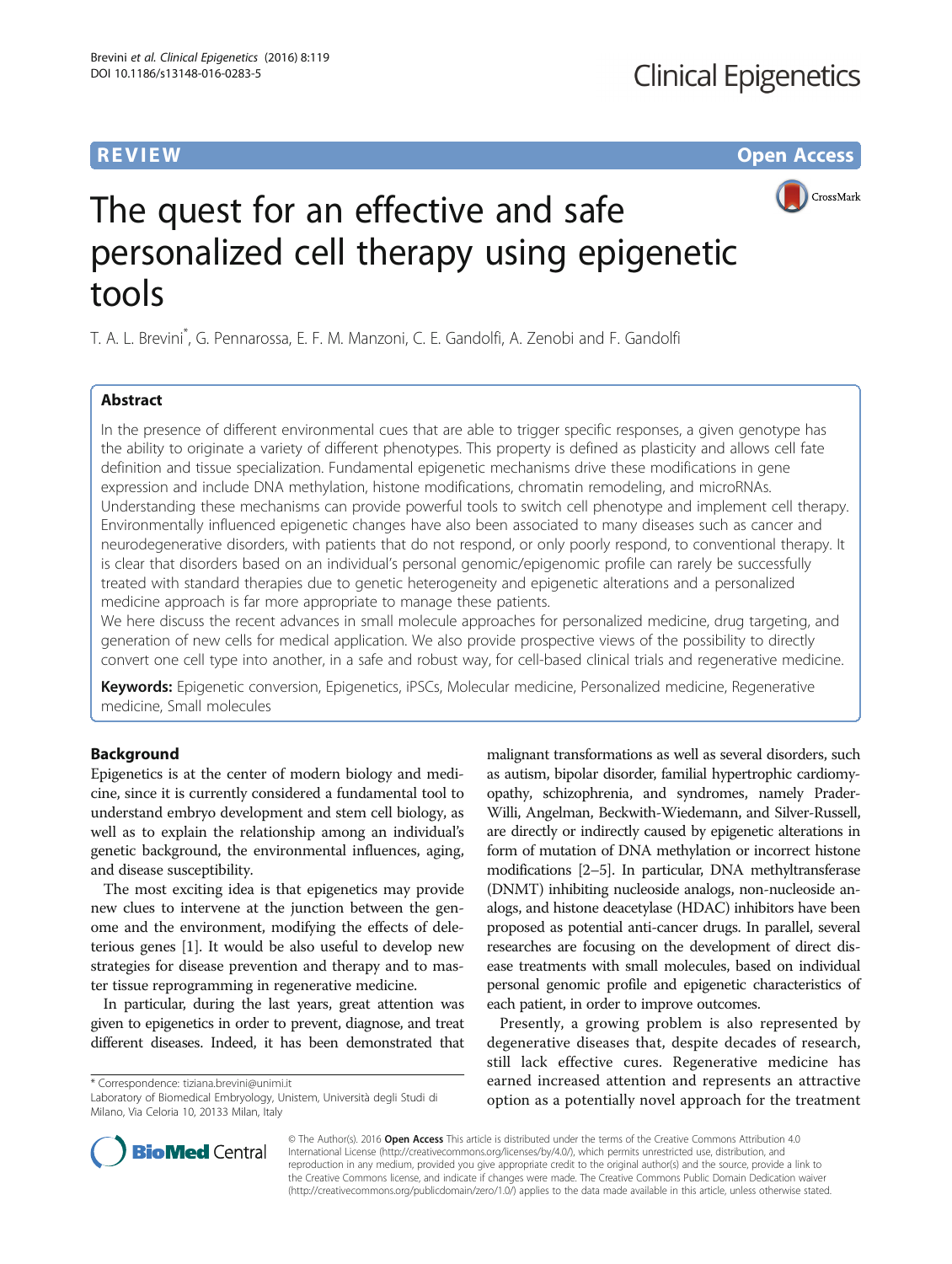**REVIEW CONSTRUCTION CONSTRUCTION CONSTRUCTS** 



# The quest for an effective and safe personalized cell therapy using epigenetic tools

T. A. L. Brevini<sup>\*</sup>, G. Pennarossa, E. F. M. Manzoni, C. E. Gandolfi, A. Zenobi and F. Gandolfi

## Abstract

In the presence of different environmental cues that are able to trigger specific responses, a given genotype has the ability to originate a variety of different phenotypes. This property is defined as plasticity and allows cell fate definition and tissue specialization. Fundamental epigenetic mechanisms drive these modifications in gene expression and include DNA methylation, histone modifications, chromatin remodeling, and microRNAs. Understanding these mechanisms can provide powerful tools to switch cell phenotype and implement cell therapy. Environmentally influenced epigenetic changes have also been associated to many diseases such as cancer and neurodegenerative disorders, with patients that do not respond, or only poorly respond, to conventional therapy. It is clear that disorders based on an individual's personal genomic/epigenomic profile can rarely be successfully treated with standard therapies due to genetic heterogeneity and epigenetic alterations and a personalized medicine approach is far more appropriate to manage these patients.

We here discuss the recent advances in small molecule approaches for personalized medicine, drug targeting, and generation of new cells for medical application. We also provide prospective views of the possibility to directly convert one cell type into another, in a safe and robust way, for cell-based clinical trials and regenerative medicine.

Keywords: Epigenetic conversion, Epigenetics, iPSCs, Molecular medicine, Personalized medicine, Regenerative medicine, Small molecules

## Background

Epigenetics is at the center of modern biology and medicine, since it is currently considered a fundamental tool to understand embryo development and stem cell biology, as well as to explain the relationship among an individual's genetic background, the environmental influences, aging, and disease susceptibility.

The most exciting idea is that epigenetics may provide new clues to intervene at the junction between the genome and the environment, modifying the effects of deleterious genes [[1](#page-6-0)]. It would be also useful to develop new strategies for disease prevention and therapy and to master tissue reprogramming in regenerative medicine.

In particular, during the last years, great attention was given to epigenetics in order to prevent, diagnose, and treat different diseases. Indeed, it has been demonstrated that

\* Correspondence: [tiziana.brevini@unimi.it](mailto:tiziana.brevini@unimi.it)

Laboratory of Biomedical Embryology, Unistem, Università degli Studi di Milano, Via Celoria 10, 20133 Milan, Italy

malignant transformations as well as several disorders, such as autism, bipolar disorder, familial hypertrophic cardiomyopathy, schizophrenia, and syndromes, namely Prader-Willi, Angelman, Beckwith-Wiedemann, and Silver-Russell, are directly or indirectly caused by epigenetic alterations in form of mutation of DNA methylation or incorrect histone modifications [[2](#page-6-0)–[5\]](#page-7-0). In particular, DNA methyltransferase (DNMT) inhibiting nucleoside analogs, non-nucleoside analogs, and histone deacetylase (HDAC) inhibitors have been proposed as potential anti-cancer drugs. In parallel, several researches are focusing on the development of direct disease treatments with small molecules, based on individual personal genomic profile and epigenetic characteristics of each patient, in order to improve outcomes.

Presently, a growing problem is also represented by degenerative diseases that, despite decades of research, still lack effective cures. Regenerative medicine has earned increased attention and represents an attractive option as a potentially novel approach for the treatment



© The Author(s). 2016 **Open Access** This article is distributed under the terms of the Creative Commons Attribution 4.0 International License [\(http://creativecommons.org/licenses/by/4.0/](http://creativecommons.org/licenses/by/4.0/)), which permits unrestricted use, distribution, and reproduction in any medium, provided you give appropriate credit to the original author(s) and the source, provide a link to the Creative Commons license, and indicate if changes were made. The Creative Commons Public Domain Dedication waiver [\(http://creativecommons.org/publicdomain/zero/1.0/](http://creativecommons.org/publicdomain/zero/1.0/)) applies to the data made available in this article, unless otherwise stated.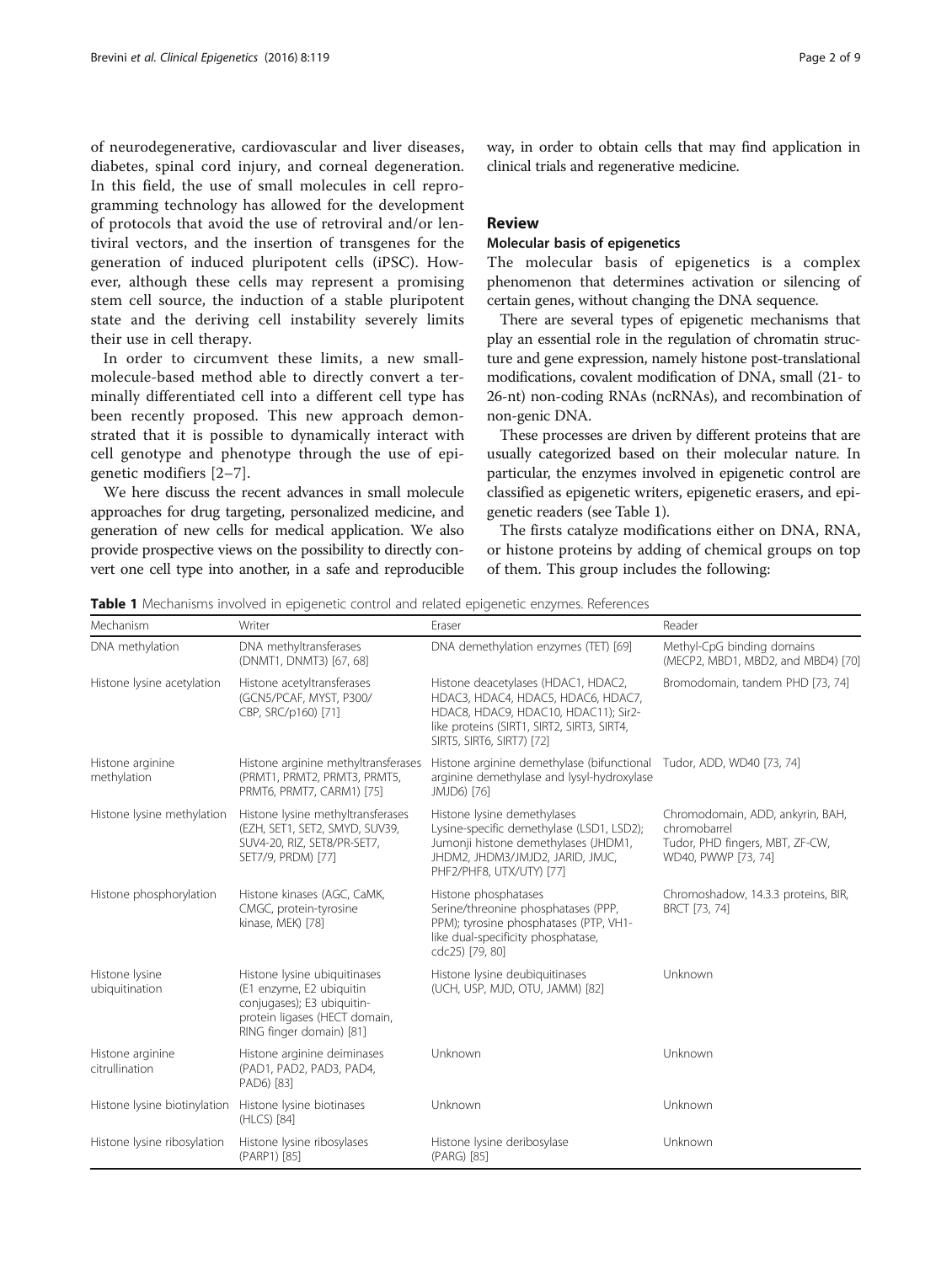of neurodegenerative, cardiovascular and liver diseases, diabetes, spinal cord injury, and corneal degeneration. In this field, the use of small molecules in cell reprogramming technology has allowed for the development of protocols that avoid the use of retroviral and/or lentiviral vectors, and the insertion of transgenes for the generation of induced pluripotent cells (iPSC). However, although these cells may represent a promising stem cell source, the induction of a stable pluripotent state and the deriving cell instability severely limits their use in cell therapy.

In order to circumvent these limits, a new smallmolecule-based method able to directly convert a terminally differentiated cell into a different cell type has been recently proposed. This new approach demonstrated that it is possible to dynamically interact with cell genotype and phenotype through the use of epigenetic modifiers [\[2](#page-6-0)–[7](#page-7-0)].

We here discuss the recent advances in small molecule approaches for drug targeting, personalized medicine, and generation of new cells for medical application. We also provide prospective views on the possibility to directly convert one cell type into another, in a safe and reproducible way, in order to obtain cells that may find application in clinical trials and regenerative medicine.

## Review

## Molecular basis of epigenetics

The molecular basis of epigenetics is a complex phenomenon that determines activation or silencing of certain genes, without changing the DNA sequence.

There are several types of epigenetic mechanisms that play an essential role in the regulation of chromatin structure and gene expression, namely histone post-translational modifications, covalent modification of DNA, small (21- to 26-nt) non-coding RNAs (ncRNAs), and recombination of non-genic DNA.

These processes are driven by different proteins that are usually categorized based on their molecular nature. In particular, the enzymes involved in epigenetic control are classified as epigenetic writers, epigenetic erasers, and epigenetic readers (see Table 1).

The firsts catalyze modifications either on DNA, RNA, or histone proteins by adding of chemical groups on top of them. This group includes the following:

**Table 1** Mechanisms involved in epigenetic control and related epigenetic enzymes. References

| Mechanism                          | Writer                                                                                                                                              | Eraser                                                                                                                                                                                       | Reader                                                                                                     |
|------------------------------------|-----------------------------------------------------------------------------------------------------------------------------------------------------|----------------------------------------------------------------------------------------------------------------------------------------------------------------------------------------------|------------------------------------------------------------------------------------------------------------|
| DNA methylation                    | DNA methyltransferases<br>(DNMT1, DNMT3) [67, 68]                                                                                                   | DNA demethylation enzymes (TET) [69]                                                                                                                                                         | Methyl-CpG binding domains<br>(MECP2, MBD1, MBD2, and MBD4) [70]                                           |
| Histone lysine acetylation         | Histone acetyltransferases<br>(GCN5/PCAF, MYST, P300/<br>CBP, SRC/p160) [71]                                                                        | Histone deacetylases (HDAC1, HDAC2,<br>HDAC3, HDAC4, HDAC5, HDAC6, HDAC7,<br>HDAC8, HDAC9, HDAC10, HDAC11); Sir2-<br>like proteins (SIRT1, SIRT2, SIRT3, SIRT4,<br>SIRT5, SIRT6, SIRT7) [72] | Bromodomain, tandem PHD [73, 74]                                                                           |
| Histone arginine<br>methylation    | Histone arginine methyltransferases<br>(PRMT1, PRMT2, PRMT3, PRMT5,<br>PRMT6, PRMT7, CARM1) [75]                                                    | Histone arginine demethylase (bifunctional Tudor, ADD, WD40 [73, 74]<br>arginine demethylase and lysyl-hydroxylase<br>JMJD6) [76]                                                            |                                                                                                            |
| Histone lysine methylation         | Histone lysine methyltransferases<br>(EZH, SET1, SET2, SMYD, SUV39,<br>SUV4-20, RIZ, SET8/PR-SET7,<br>SET7/9, PRDM) [77]                            | Histone lysine demethylases<br>Lysine-specific demethylase (LSD1, LSD2);<br>Jumonji histone demethylases (JHDM1,<br>JHDM2, JHDM3/JMJD2, JARID, JMJC,<br>PHF2/PHF8, UTX/UTY) [77]             | Chromodomain, ADD, ankyrin, BAH,<br>chromobarrel<br>Tudor, PHD fingers, MBT, ZF-CW,<br>WD40, PWWP [73, 74] |
| Histone phosphorylation            | Histone kinases (AGC, CaMK,<br>CMGC, protein-tyrosine<br>kinase, MEK) [78]                                                                          | Histone phosphatases<br>Serine/threonine phosphatases (PPP,<br>PPM); tyrosine phosphatases (PTP, VH1-<br>like dual-specificity phosphatase,<br>cdc25) [79, 80]                               | Chromoshadow, 14.3.3 proteins, BIR,<br><b>BRCT [73, 74]</b>                                                |
| Histone lysine<br>ubiquitination   | Histone lysine ubiquitinases<br>(E1 enzyme, E2 ubiquitin<br>conjugases); E3 ubiquitin-<br>protein ligases (HECT domain,<br>RING finger domain) [81] | Histone lysine deubiquitinases<br>(UCH, USP, MJD, OTU, JAMM) [82]                                                                                                                            | Unknown                                                                                                    |
| Histone arginine<br>citrullination | Histone arginine deiminases<br>(PAD1, PAD2, PAD3, PAD4,<br>PAD6) [83]                                                                               | Unknown                                                                                                                                                                                      | Unknown                                                                                                    |
| Histone lysine biotinylation       | Histone lysine biotinases<br>(HLCS) [84]                                                                                                            | Unknown                                                                                                                                                                                      | Unknown                                                                                                    |
| Histone lysine ribosylation        | Histone lysine ribosylases<br>(PARP1) [85]                                                                                                          | Histone lysine deribosylase<br>(PARG) [85]                                                                                                                                                   | Unknown                                                                                                    |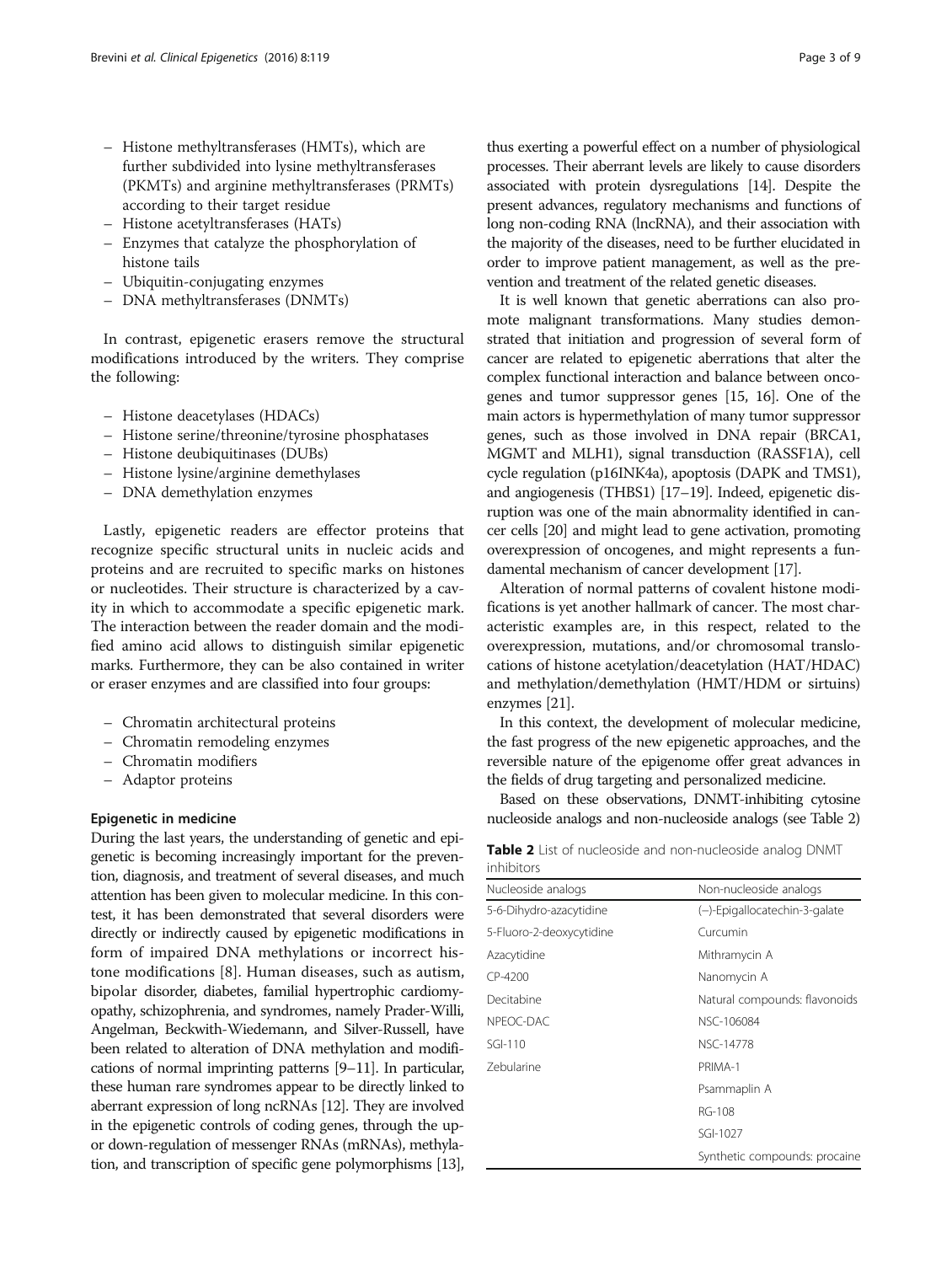- <span id="page-2-0"></span>– Histone methyltransferases (HMTs), which are further subdivided into lysine methyltransferases (PKMTs) and arginine methyltransferases (PRMTs) according to their target residue
- Histone acetyltransferases (HATs)
- Enzymes that catalyze the phosphorylation of histone tails
- Ubiquitin-conjugating enzymes
- DNA methyltransferases (DNMTs)

In contrast, epigenetic erasers remove the structural modifications introduced by the writers. They comprise the following:

- Histone deacetylases (HDACs)
- Histone serine/threonine/tyrosine phosphatases
- Histone deubiquitinases (DUBs)
- Histone lysine/arginine demethylases
- DNA demethylation enzymes

Lastly, epigenetic readers are effector proteins that recognize specific structural units in nucleic acids and proteins and are recruited to specific marks on histones or nucleotides. Their structure is characterized by a cavity in which to accommodate a specific epigenetic mark. The interaction between the reader domain and the modified amino acid allows to distinguish similar epigenetic marks. Furthermore, they can be also contained in writer or eraser enzymes and are classified into four groups:

- Chromatin architectural proteins
- Chromatin remodeling enzymes
- Chromatin modifiers
- Adaptor proteins

## Epigenetic in medicine

During the last years, the understanding of genetic and epigenetic is becoming increasingly important for the prevention, diagnosis, and treatment of several diseases, and much attention has been given to molecular medicine. In this contest, it has been demonstrated that several disorders were directly or indirectly caused by epigenetic modifications in form of impaired DNA methylations or incorrect histone modifications [[8\]](#page-7-0). Human diseases, such as autism, bipolar disorder, diabetes, familial hypertrophic cardiomyopathy, schizophrenia, and syndromes, namely Prader-Willi, Angelman, Beckwith-Wiedemann, and Silver-Russell, have been related to alteration of DNA methylation and modifications of normal imprinting patterns [\[9](#page-7-0)–[11\]](#page-7-0). In particular, these human rare syndromes appear to be directly linked to aberrant expression of long ncRNAs [\[12](#page-7-0)]. They are involved in the epigenetic controls of coding genes, through the upor down-regulation of messenger RNAs (mRNAs), methylation, and transcription of specific gene polymorphisms [\[13](#page-7-0)],

thus exerting a powerful effect on a number of physiological processes. Their aberrant levels are likely to cause disorders associated with protein dysregulations [\[14](#page-7-0)]. Despite the present advances, regulatory mechanisms and functions of long non-coding RNA (lncRNA), and their association with the majority of the diseases, need to be further elucidated in order to improve patient management, as well as the prevention and treatment of the related genetic diseases.

It is well known that genetic aberrations can also promote malignant transformations. Many studies demonstrated that initiation and progression of several form of cancer are related to epigenetic aberrations that alter the complex functional interaction and balance between oncogenes and tumor suppressor genes [[15](#page-7-0), [16](#page-7-0)]. One of the main actors is hypermethylation of many tumor suppressor genes, such as those involved in DNA repair (BRCA1, MGMT and MLH1), signal transduction (RASSF1A), cell cycle regulation (p16INK4a), apoptosis (DAPK and TMS1), and angiogenesis (THBS1) [\[17](#page-7-0)–[19\]](#page-7-0). Indeed, epigenetic disruption was one of the main abnormality identified in cancer cells [[20](#page-7-0)] and might lead to gene activation, promoting overexpression of oncogenes, and might represents a fundamental mechanism of cancer development [\[17\]](#page-7-0).

Alteration of normal patterns of covalent histone modifications is yet another hallmark of cancer. The most characteristic examples are, in this respect, related to the overexpression, mutations, and/or chromosomal translocations of histone acetylation/deacetylation (HAT/HDAC) and methylation/demethylation (HMT/HDM or sirtuins) enzymes [[21](#page-7-0)].

In this context, the development of molecular medicine, the fast progress of the new epigenetic approaches, and the reversible nature of the epigenome offer great advances in the fields of drug targeting and personalized medicine.

Based on these observations, DNMT-inhibiting cytosine nucleoside analogs and non-nucleoside analogs (see Table 2)

Table 2 List of nucleoside and non-nucleoside analog DNMT inhibitors

| Nucleoside analogs       | Non-nucleoside analogs        |  |
|--------------------------|-------------------------------|--|
| 5-6-Dihydro-azacytidine  | (-)-Epigallocatechin-3-galate |  |
| 5-Fluoro-2-deoxycytidine | Curcumin                      |  |
| Azacytidine              | Mithramycin A                 |  |
| $CP-4200$                | Nanomycin A                   |  |
| Decitabine               | Natural compounds: flavonoids |  |
| NPEOC-DAC                | NSC-106084                    |  |
| $SGI-110$                | NSC-14778                     |  |
| Zebularine               | PRIMA-1                       |  |
|                          | Psammaplin A                  |  |
|                          | <b>RG-108</b>                 |  |
|                          | SGI-1027                      |  |
|                          | Synthetic compounds: procaine |  |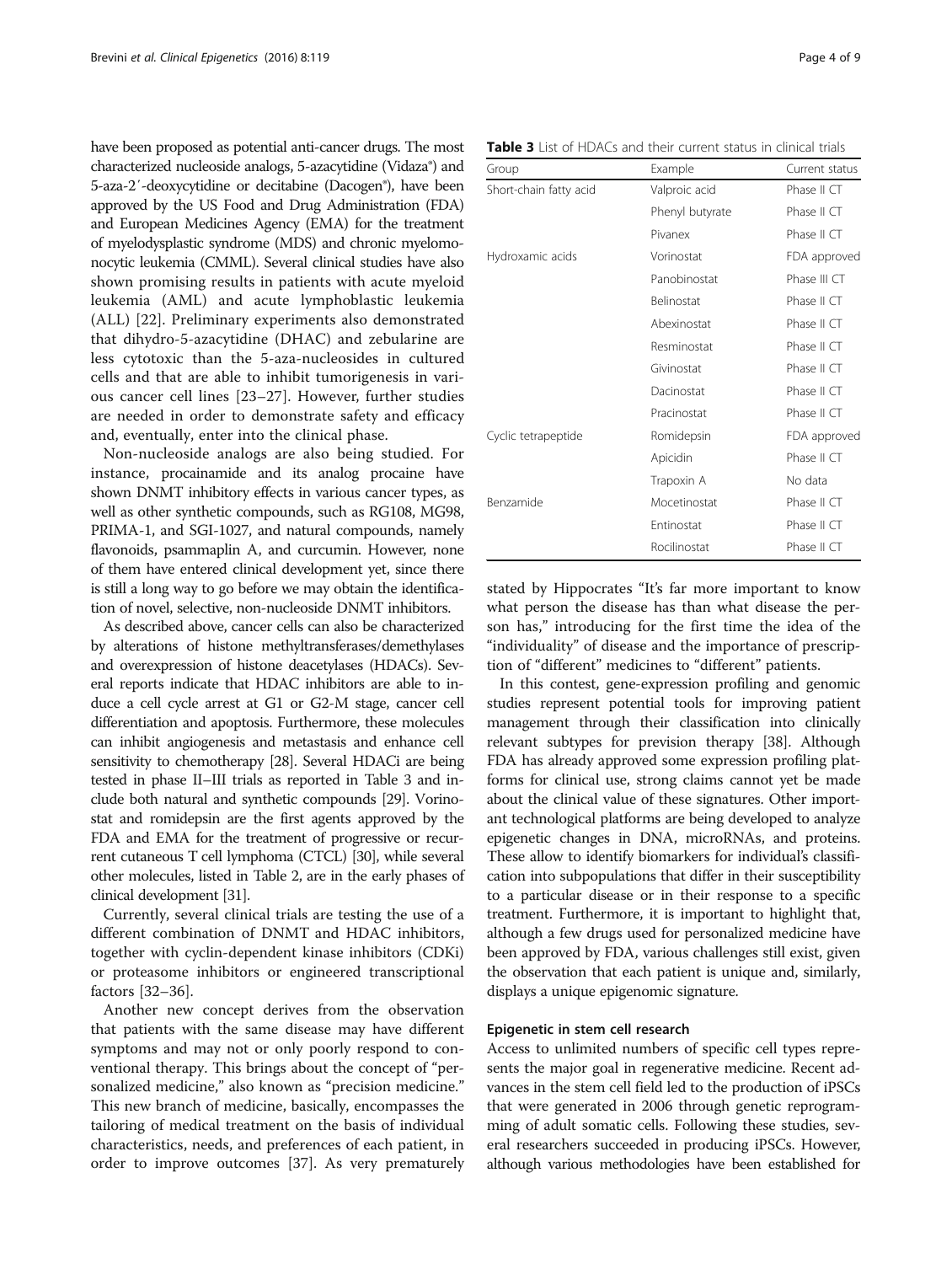have been proposed as potential anti-cancer drugs. The most characterized nucleoside analogs, 5-azacytidine (Vidaza®) and 5-aza-2′-deoxycytidine or decitabine (Dacogen®), have been approved by the US Food and Drug Administration (FDA) and European Medicines Agency (EMA) for the treatment of myelodysplastic syndrome (MDS) and chronic myelomonocytic leukemia (CMML). Several clinical studies have also shown promising results in patients with acute myeloid leukemia (AML) and acute lymphoblastic leukemia (ALL) [\[22](#page-7-0)]. Preliminary experiments also demonstrated that dihydro-5-azacytidine (DHAC) and zebularine are less cytotoxic than the 5-aza-nucleosides in cultured cells and that are able to inhibit tumorigenesis in various cancer cell lines [[23](#page-7-0)–[27\]](#page-7-0). However, further studies are needed in order to demonstrate safety and efficacy and, eventually, enter into the clinical phase.

Non-nucleoside analogs are also being studied. For instance, procainamide and its analog procaine have shown DNMT inhibitory effects in various cancer types, as well as other synthetic compounds, such as RG108, MG98, PRIMA-1, and SGI-1027, and natural compounds, namely flavonoids, psammaplin A, and curcumin. However, none of them have entered clinical development yet, since there is still a long way to go before we may obtain the identification of novel, selective, non-nucleoside DNMT inhibitors.

As described above, cancer cells can also be characterized by alterations of histone methyltransferases/demethylases and overexpression of histone deacetylases (HDACs). Several reports indicate that HDAC inhibitors are able to induce a cell cycle arrest at G1 or G2-M stage, cancer cell differentiation and apoptosis. Furthermore, these molecules can inhibit angiogenesis and metastasis and enhance cell sensitivity to chemotherapy [[28\]](#page-7-0). Several HDACi are being tested in phase II–III trials as reported in Table 3 and include both natural and synthetic compounds [\[29](#page-7-0)]. Vorinostat and romidepsin are the first agents approved by the FDA and EMA for the treatment of progressive or recurrent cutaneous T cell lymphoma (CTCL) [\[30](#page-7-0)], while several other molecules, listed in Table [2](#page-2-0), are in the early phases of clinical development [\[31\]](#page-7-0).

Currently, several clinical trials are testing the use of a different combination of DNMT and HDAC inhibitors, together with cyclin-dependent kinase inhibitors (CDKi) or proteasome inhibitors or engineered transcriptional factors [\[32](#page-7-0)–[36\]](#page-7-0).

Another new concept derives from the observation that patients with the same disease may have different symptoms and may not or only poorly respond to conventional therapy. This brings about the concept of "personalized medicine," also known as "precision medicine." This new branch of medicine, basically, encompasses the tailoring of medical treatment on the basis of individual characteristics, needs, and preferences of each patient, in order to improve outcomes [\[37](#page-7-0)]. As very prematurely

Table 3 List of HDACs and their current status in clinical trials

| Group                  | Example         | Current status       |
|------------------------|-----------------|----------------------|
| Short-chain fatty acid | Valproic acid   | Phase $\parallel$ CT |
|                        | Phenyl butyrate | Phase II CT          |
|                        | Pivanex         | Phase II CT          |
| Hydroxamic acids       | Vorinostat      | FDA approved         |
|                        | Panobinostat    | Phase III CT         |
|                        | Belinostat      | Phase II CT          |
|                        | Abexinostat     | Phase II CT          |
|                        | Resminostat     | Phase $\parallel$ CT |
|                        | Givinostat      | Phase $\parallel$ CT |
|                        | Dacinostat      | Phase II CT          |
|                        | Pracinostat     | Phase II CT          |
| Cyclic tetrapeptide    | Romidepsin      | FDA approved         |
|                        | Apicidin        | Phase II CT          |
|                        | Trapoxin A      | No data              |
| Benzamide              | Mocetinostat    | Phase II CT          |
|                        | Entinostat      | Phase II CT          |
|                        | Rocilinostat    | Phase II CT          |

stated by Hippocrates "It's far more important to know what person the disease has than what disease the person has," introducing for the first time the idea of the "individuality" of disease and the importance of prescription of "different" medicines to "different" patients.

In this contest, gene-expression profiling and genomic studies represent potential tools for improving patient management through their classification into clinically relevant subtypes for prevision therapy [\[38\]](#page-7-0). Although FDA has already approved some expression profiling platforms for clinical use, strong claims cannot yet be made about the clinical value of these signatures. Other important technological platforms are being developed to analyze epigenetic changes in DNA, microRNAs, and proteins. These allow to identify biomarkers for individual's classification into subpopulations that differ in their susceptibility to a particular disease or in their response to a specific treatment. Furthermore, it is important to highlight that, although a few drugs used for personalized medicine have been approved by FDA, various challenges still exist, given the observation that each patient is unique and, similarly, displays a unique epigenomic signature.

## Epigenetic in stem cell research

Access to unlimited numbers of specific cell types represents the major goal in regenerative medicine. Recent advances in the stem cell field led to the production of iPSCs that were generated in 2006 through genetic reprogramming of adult somatic cells. Following these studies, several researchers succeeded in producing iPSCs. However, although various methodologies have been established for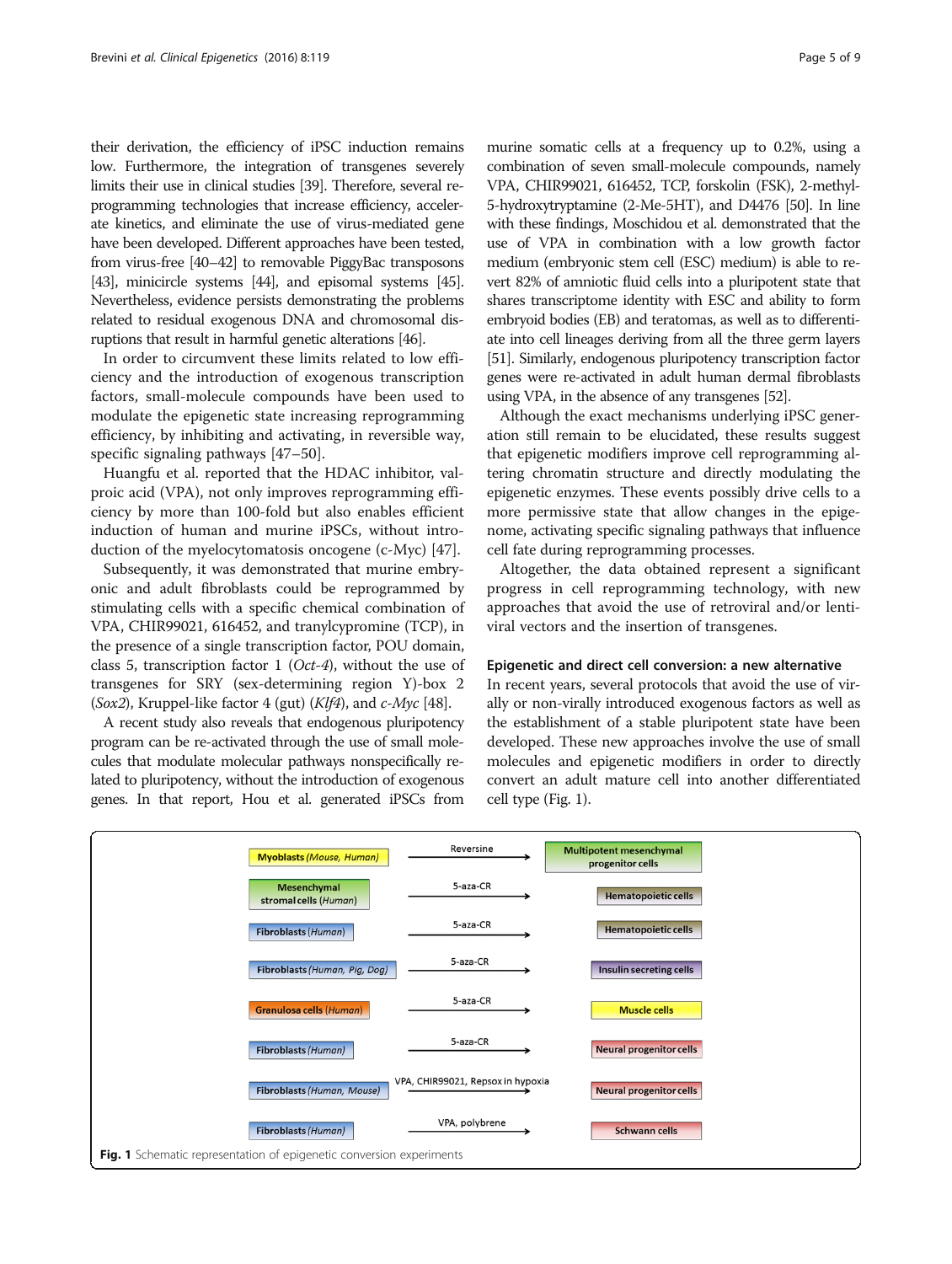their derivation, the efficiency of iPSC induction remains low. Furthermore, the integration of transgenes severely limits their use in clinical studies [\[39\]](#page-7-0). Therefore, several reprogramming technologies that increase efficiency, accelerate kinetics, and eliminate the use of virus-mediated gene have been developed. Different approaches have been tested, from virus-free [\[40](#page-7-0)–[42\]](#page-7-0) to removable PiggyBac transposons [[43\]](#page-7-0), minicircle systems [\[44](#page-7-0)], and episomal systems [\[45\]](#page-7-0). Nevertheless, evidence persists demonstrating the problems related to residual exogenous DNA and chromosomal disruptions that result in harmful genetic alterations [\[46](#page-7-0)].

In order to circumvent these limits related to low efficiency and the introduction of exogenous transcription factors, small-molecule compounds have been used to modulate the epigenetic state increasing reprogramming efficiency, by inhibiting and activating, in reversible way, specific signaling pathways [[47](#page-7-0)–[50](#page-7-0)].

Huangfu et al. reported that the HDAC inhibitor, valproic acid (VPA), not only improves reprogramming efficiency by more than 100-fold but also enables efficient induction of human and murine iPSCs, without introduction of the myelocytomatosis oncogene (c-Myc) [\[47\]](#page-7-0).

Subsequently, it was demonstrated that murine embryonic and adult fibroblasts could be reprogrammed by stimulating cells with a specific chemical combination of VPA, CHIR99021, 616452, and tranylcypromine (TCP), in the presence of a single transcription factor, POU domain, class 5, transcription factor 1 ( $Oct-4$ ), without the use of transgenes for SRY (sex-determining region Y)-box 2 (Sox2), Kruppel-like factor 4 (gut) ( $Klf4$ ), and  $c$ -Myc [[48](#page-7-0)].

A recent study also reveals that endogenous pluripotency program can be re-activated through the use of small molecules that modulate molecular pathways nonspecifically related to pluripotency, without the introduction of exogenous genes. In that report, Hou et al. generated iPSCs from

murine somatic cells at a frequency up to 0.2%, using a combination of seven small-molecule compounds, namely VPA, CHIR99021, 616452, TCP, forskolin (FSK), 2-methyl-5-hydroxytryptamine (2-Me-5HT), and D4476 [\[50\]](#page-7-0). In line with these findings, Moschidou et al. demonstrated that the use of VPA in combination with a low growth factor medium (embryonic stem cell (ESC) medium) is able to revert 82% of amniotic fluid cells into a pluripotent state that shares transcriptome identity with ESC and ability to form embryoid bodies (EB) and teratomas, as well as to differentiate into cell lineages deriving from all the three germ layers [[51\]](#page-7-0). Similarly, endogenous pluripotency transcription factor genes were re-activated in adult human dermal fibroblasts using VPA, in the absence of any transgenes [[52](#page-7-0)].

Although the exact mechanisms underlying iPSC generation still remain to be elucidated, these results suggest that epigenetic modifiers improve cell reprogramming altering chromatin structure and directly modulating the epigenetic enzymes. These events possibly drive cells to a more permissive state that allow changes in the epigenome, activating specific signaling pathways that influence cell fate during reprogramming processes.

Altogether, the data obtained represent a significant progress in cell reprogramming technology, with new approaches that avoid the use of retroviral and/or lentiviral vectors and the insertion of transgenes.

#### Epigenetic and direct cell conversion: a new alternative

In recent years, several protocols that avoid the use of virally or non-virally introduced exogenous factors as well as the establishment of a stable pluripotent state have been developed. These new approaches involve the use of small molecules and epigenetic modifiers in order to directly convert an adult mature cell into another differentiated cell type (Fig. 1).

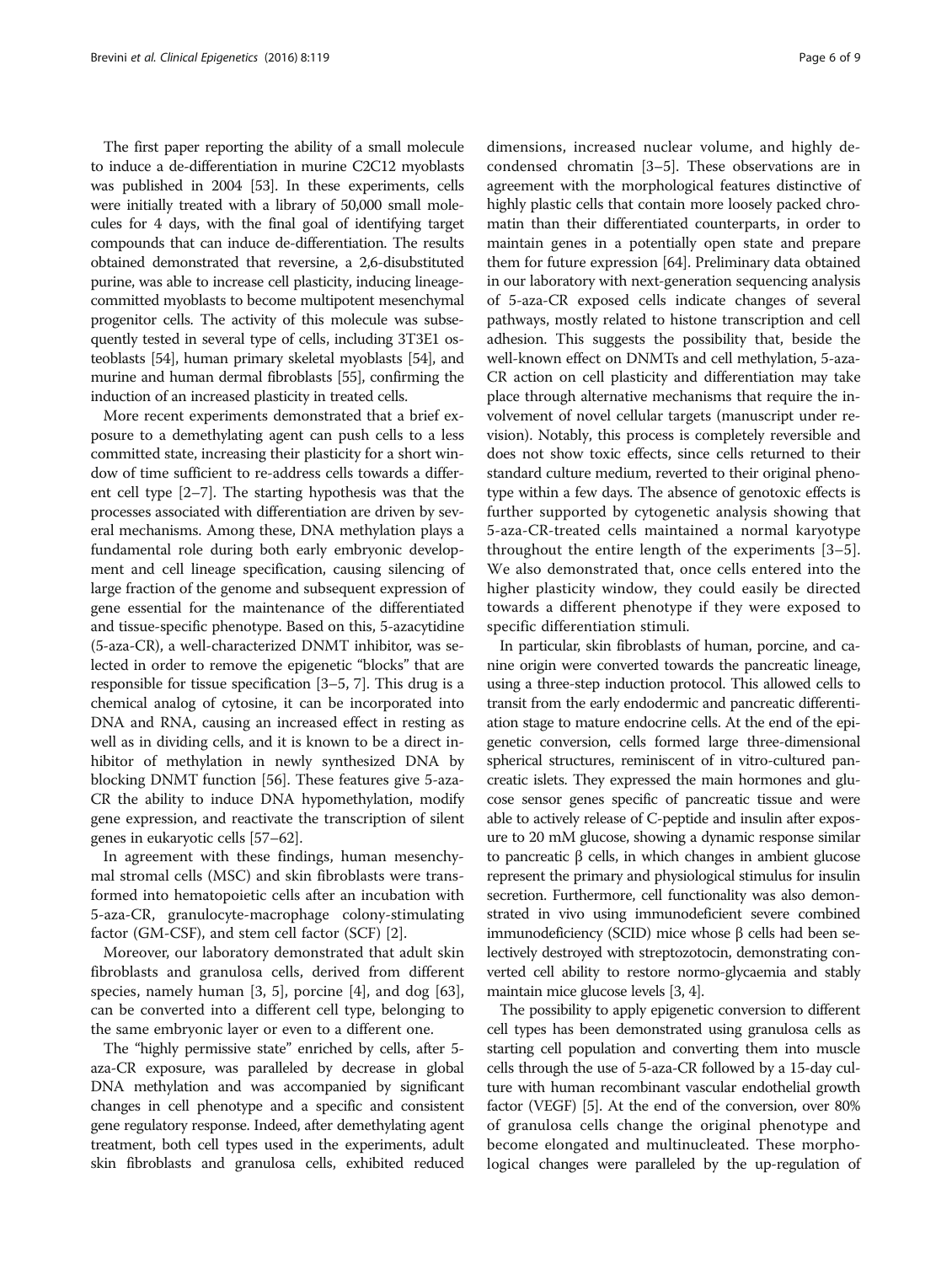The first paper reporting the ability of a small molecule to induce a de-differentiation in murine C2C12 myoblasts was published in 2004 [\[53\]](#page-7-0). In these experiments, cells were initially treated with a library of 50,000 small molecules for 4 days, with the final goal of identifying target compounds that can induce de-differentiation. The results obtained demonstrated that reversine, a 2,6-disubstituted purine, was able to increase cell plasticity, inducing lineagecommitted myoblasts to become multipotent mesenchymal progenitor cells. The activity of this molecule was subsequently tested in several type of cells, including 3T3E1 osteoblasts [\[54\]](#page-7-0), human primary skeletal myoblasts [\[54\]](#page-7-0), and murine and human dermal fibroblasts [\[55\]](#page-8-0), confirming the induction of an increased plasticity in treated cells.

More recent experiments demonstrated that a brief exposure to a demethylating agent can push cells to a less committed state, increasing their plasticity for a short window of time sufficient to re-address cells towards a different cell type [[2](#page-6-0)–[7](#page-7-0)]. The starting hypothesis was that the processes associated with differentiation are driven by several mechanisms. Among these, DNA methylation plays a fundamental role during both early embryonic development and cell lineage specification, causing silencing of large fraction of the genome and subsequent expression of gene essential for the maintenance of the differentiated and tissue-specific phenotype. Based on this, 5-azacytidine (5-aza-CR), a well-characterized DNMT inhibitor, was selected in order to remove the epigenetic "blocks" that are responsible for tissue specification [[3](#page-7-0)–[5](#page-7-0), [7](#page-7-0)]. This drug is a chemical analog of cytosine, it can be incorporated into DNA and RNA, causing an increased effect in resting as well as in dividing cells, and it is known to be a direct inhibitor of methylation in newly synthesized DNA by blocking DNMT function [[56](#page-8-0)]. These features give 5-aza-CR the ability to induce DNA hypomethylation, modify gene expression, and reactivate the transcription of silent genes in eukaryotic cells [\[57](#page-8-0)–[62](#page-8-0)].

In agreement with these findings, human mesenchymal stromal cells (MSC) and skin fibroblasts were transformed into hematopoietic cells after an incubation with 5-aza-CR, granulocyte-macrophage colony-stimulating factor (GM-CSF), and stem cell factor (SCF) [[2\]](#page-6-0).

Moreover, our laboratory demonstrated that adult skin fibroblasts and granulosa cells, derived from different species, namely human [\[3](#page-7-0), [5](#page-7-0)], porcine [\[4](#page-7-0)], and dog [\[63](#page-8-0)], can be converted into a different cell type, belonging to the same embryonic layer or even to a different one.

The "highly permissive state" enriched by cells, after 5 aza-CR exposure, was paralleled by decrease in global DNA methylation and was accompanied by significant changes in cell phenotype and a specific and consistent gene regulatory response. Indeed, after demethylating agent treatment, both cell types used in the experiments, adult skin fibroblasts and granulosa cells, exhibited reduced

dimensions, increased nuclear volume, and highly decondensed chromatin [\[3](#page-7-0)–[5\]](#page-7-0). These observations are in agreement with the morphological features distinctive of highly plastic cells that contain more loosely packed chromatin than their differentiated counterparts, in order to maintain genes in a potentially open state and prepare them for future expression [\[64](#page-8-0)]. Preliminary data obtained in our laboratory with next-generation sequencing analysis of 5-aza-CR exposed cells indicate changes of several pathways, mostly related to histone transcription and cell adhesion. This suggests the possibility that, beside the well-known effect on DNMTs and cell methylation, 5-aza-CR action on cell plasticity and differentiation may take place through alternative mechanisms that require the involvement of novel cellular targets (manuscript under revision). Notably, this process is completely reversible and does not show toxic effects, since cells returned to their standard culture medium, reverted to their original phenotype within a few days. The absence of genotoxic effects is further supported by cytogenetic analysis showing that 5-aza-CR-treated cells maintained a normal karyotype throughout the entire length of the experiments [\[3](#page-7-0)–[5](#page-7-0)]. We also demonstrated that, once cells entered into the higher plasticity window, they could easily be directed towards a different phenotype if they were exposed to specific differentiation stimuli.

In particular, skin fibroblasts of human, porcine, and canine origin were converted towards the pancreatic lineage, using a three-step induction protocol. This allowed cells to transit from the early endodermic and pancreatic differentiation stage to mature endocrine cells. At the end of the epigenetic conversion, cells formed large three-dimensional spherical structures, reminiscent of in vitro-cultured pancreatic islets. They expressed the main hormones and glucose sensor genes specific of pancreatic tissue and were able to actively release of C-peptide and insulin after exposure to 20 mM glucose, showing a dynamic response similar to pancreatic β cells, in which changes in ambient glucose represent the primary and physiological stimulus for insulin secretion. Furthermore, cell functionality was also demonstrated in vivo using immunodeficient severe combined immunodeficiency (SCID) mice whose β cells had been selectively destroyed with streptozotocin, demonstrating converted cell ability to restore normo-glycaemia and stably maintain mice glucose levels [[3](#page-7-0), [4\]](#page-7-0).

The possibility to apply epigenetic conversion to different cell types has been demonstrated using granulosa cells as starting cell population and converting them into muscle cells through the use of 5-aza-CR followed by a 15-day culture with human recombinant vascular endothelial growth factor (VEGF) [\[5\]](#page-7-0). At the end of the conversion, over 80% of granulosa cells change the original phenotype and become elongated and multinucleated. These morphological changes were paralleled by the up-regulation of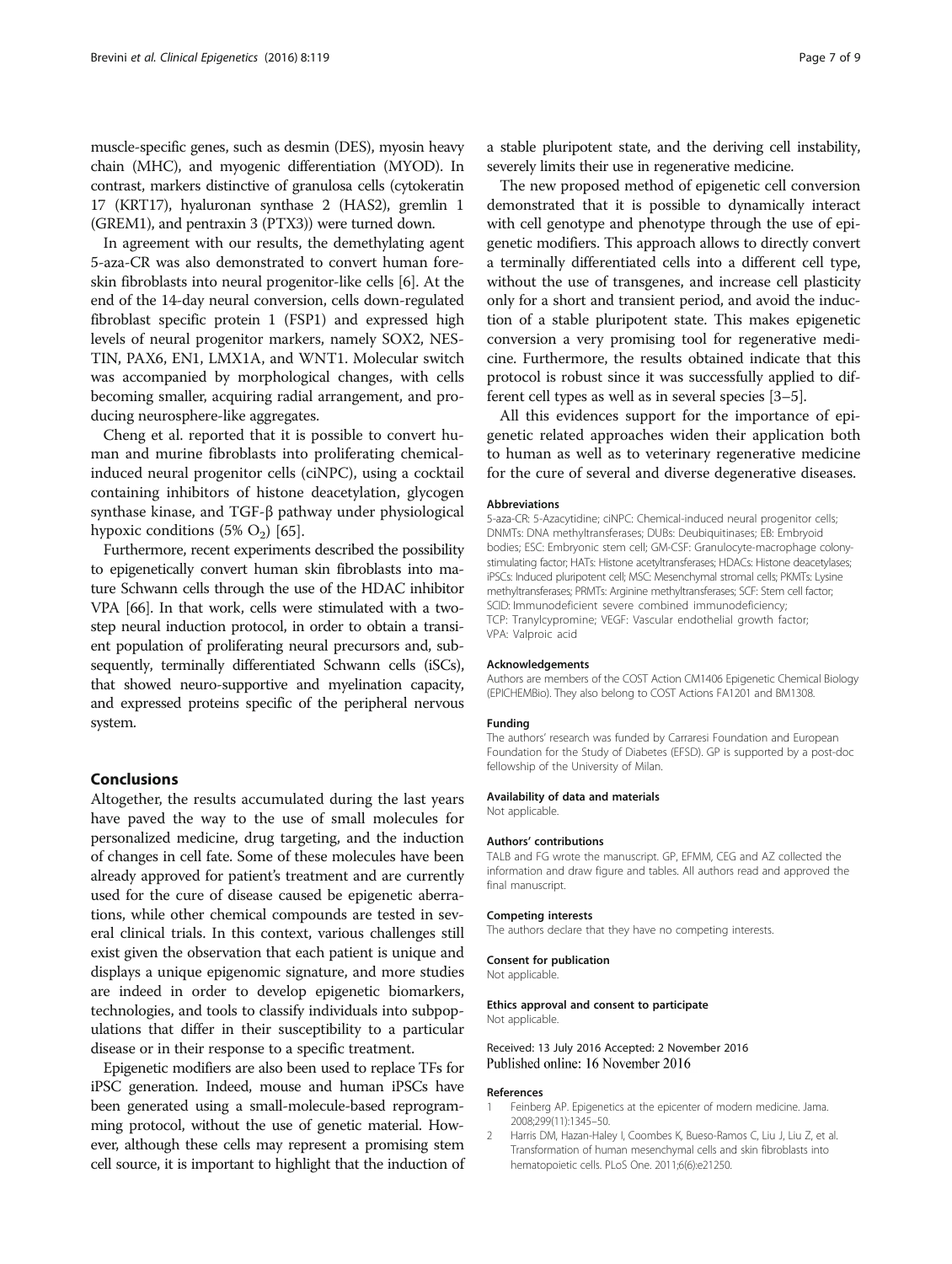<span id="page-6-0"></span>muscle-specific genes, such as desmin (DES), myosin heavy chain (MHC), and myogenic differentiation (MYOD). In contrast, markers distinctive of granulosa cells (cytokeratin 17 (KRT17), hyaluronan synthase 2 (HAS2), gremlin 1 (GREM1), and pentraxin 3 (PTX3)) were turned down.

In agreement with our results, the demethylating agent 5-aza-CR was also demonstrated to convert human foreskin fibroblasts into neural progenitor-like cells [\[6](#page-7-0)]. At the end of the 14-day neural conversion, cells down-regulated fibroblast specific protein 1 (FSP1) and expressed high levels of neural progenitor markers, namely SOX2, NES-TIN, PAX6, EN1, LMX1A, and WNT1. Molecular switch was accompanied by morphological changes, with cells becoming smaller, acquiring radial arrangement, and producing neurosphere-like aggregates.

Cheng et al. reported that it is possible to convert human and murine fibroblasts into proliferating chemicalinduced neural progenitor cells (ciNPC), using a cocktail containing inhibitors of histone deacetylation, glycogen synthase kinase, and TGF-β pathway under physiological hypoxic conditions  $(5\% \text{ O}_2)$  [[65](#page-8-0)].

Furthermore, recent experiments described the possibility to epigenetically convert human skin fibroblasts into mature Schwann cells through the use of the HDAC inhibitor VPA [[66\]](#page-8-0). In that work, cells were stimulated with a twostep neural induction protocol, in order to obtain a transient population of proliferating neural precursors and, subsequently, terminally differentiated Schwann cells (iSCs), that showed neuro-supportive and myelination capacity, and expressed proteins specific of the peripheral nervous system.

## Conclusions

Altogether, the results accumulated during the last years have paved the way to the use of small molecules for personalized medicine, drug targeting, and the induction of changes in cell fate. Some of these molecules have been already approved for patient's treatment and are currently used for the cure of disease caused be epigenetic aberrations, while other chemical compounds are tested in several clinical trials. In this context, various challenges still exist given the observation that each patient is unique and displays a unique epigenomic signature, and more studies are indeed in order to develop epigenetic biomarkers, technologies, and tools to classify individuals into subpopulations that differ in their susceptibility to a particular disease or in their response to a specific treatment.

Epigenetic modifiers are also been used to replace TFs for iPSC generation. Indeed, mouse and human iPSCs have been generated using a small-molecule-based reprogramming protocol, without the use of genetic material. However, although these cells may represent a promising stem cell source, it is important to highlight that the induction of a stable pluripotent state, and the deriving cell instability, severely limits their use in regenerative medicine.

The new proposed method of epigenetic cell conversion demonstrated that it is possible to dynamically interact with cell genotype and phenotype through the use of epigenetic modifiers. This approach allows to directly convert a terminally differentiated cells into a different cell type, without the use of transgenes, and increase cell plasticity only for a short and transient period, and avoid the induction of a stable pluripotent state. This makes epigenetic conversion a very promising tool for regenerative medicine. Furthermore, the results obtained indicate that this protocol is robust since it was successfully applied to different cell types as well as in several species [\[3](#page-7-0)–[5\]](#page-7-0).

All this evidences support for the importance of epigenetic related approaches widen their application both to human as well as to veterinary regenerative medicine for the cure of several and diverse degenerative diseases.

#### Abbreviations

5-aza-CR: 5-Azacytidine; ciNPC: Chemical-induced neural progenitor cells; DNMTs: DNA methyltransferases; DUBs: Deubiquitinases; EB: Embryoid bodies; ESC: Embryonic stem cell; GM-CSF: Granulocyte-macrophage colonystimulating factor; HATs: Histone acetyltransferases; HDACs: Histone deacetylases; iPSCs: Induced pluripotent cell; MSC: Mesenchymal stromal cells; PKMTs: Lysine methyltransferases; PRMTs: Arginine methyltransferases; SCF: Stem cell factor; SCID: Immunodeficient severe combined immunodeficiency; TCP: Tranylcypromine; VEGF: Vascular endothelial growth factor; VPA: Valproic acid

#### Acknowledgements

Authors are members of the COST Action CM1406 Epigenetic Chemical Biology (EPICHEMBio). They also belong to COST Actions FA1201 and BM1308.

#### Funding

The authors' research was funded by Carraresi Foundation and European Foundation for the Study of Diabetes (EFSD). GP is supported by a post-doc fellowship of the University of Milan.

#### Availability of data and materials

Not applicable.

#### Authors' contributions

TALB and FG wrote the manuscript. GP, EFMM, CEG and AZ collected the information and draw figure and tables. All authors read and approved the final manuscript.

#### Competing interests

The authors declare that they have no competing interests.

### Consent for publication

Not applicable.

#### Ethics approval and consent to participate Not applicable.

Received: 13 July 2016 Accepted: 2 November 2016

## Published online: 16 November 2016

#### References

- 1 Feinberg AP. Epigenetics at the epicenter of modern medicine. Jama. 2008;299(11):1345–50.
- 2 Harris DM, Hazan-Haley I, Coombes K, Bueso-Ramos C, Liu J, Liu Z, et al. Transformation of human mesenchymal cells and skin fibroblasts into hematopoietic cells. PLoS One. 2011;6(6):e21250.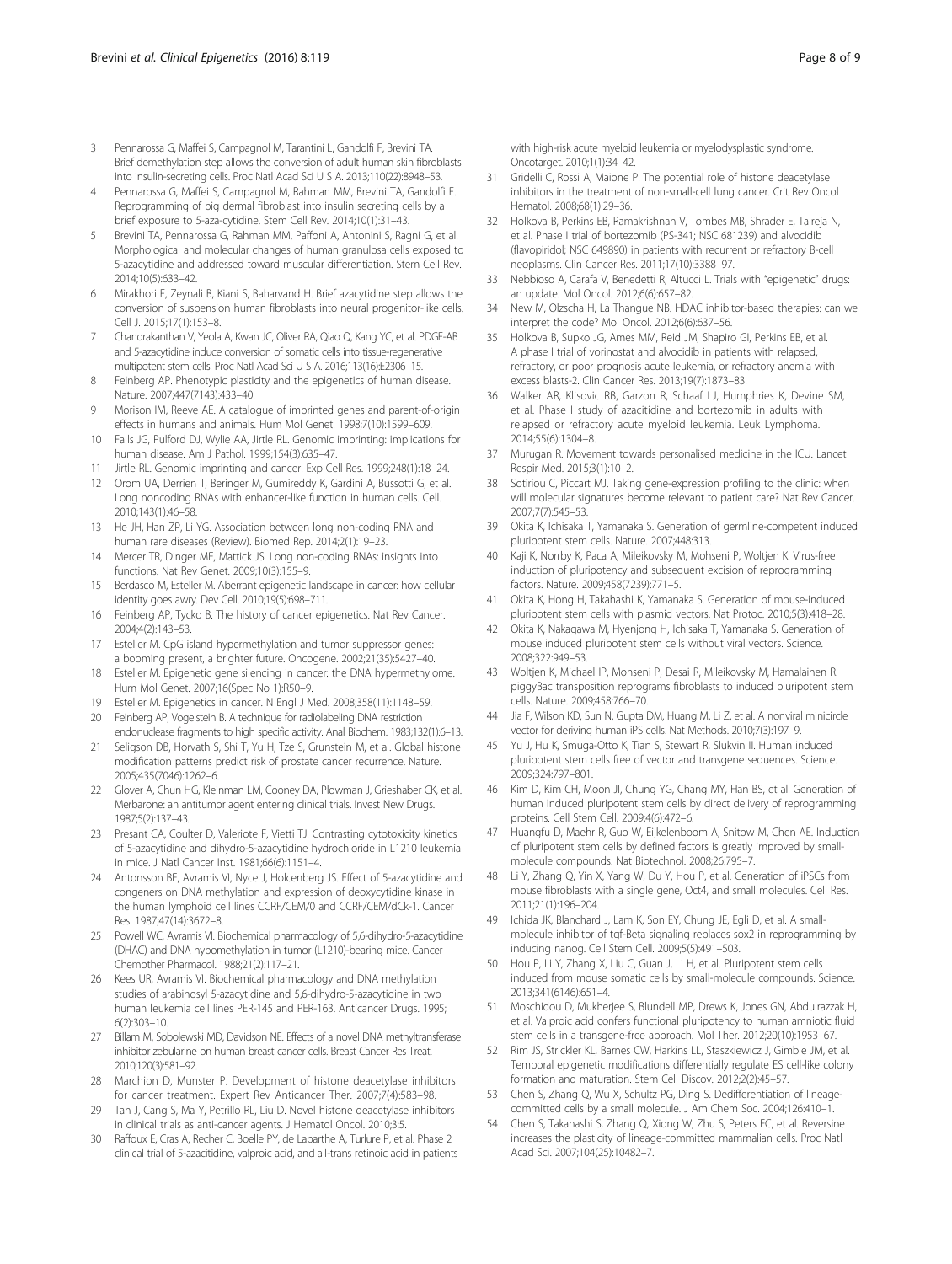- <span id="page-7-0"></span>3 Pennarossa G, Maffei S, Campagnol M, Tarantini L, Gandolfi F, Brevini TA. Brief demethylation step allows the conversion of adult human skin fibroblasts into insulin-secreting cells. Proc Natl Acad Sci U S A. 2013;110(22):8948–53.
- Pennarossa G, Maffei S, Campagnol M, Rahman MM, Brevini TA, Gandolfi F. Reprogramming of pig dermal fibroblast into insulin secreting cells by a brief exposure to 5-aza-cytidine. Stem Cell Rev. 2014;10(1):31–43.
- 5 Brevini TA, Pennarossa G, Rahman MM, Paffoni A, Antonini S, Ragni G, et al. Morphological and molecular changes of human granulosa cells exposed to 5-azacytidine and addressed toward muscular differentiation. Stem Cell Rev. 2014;10(5):633–42.
- 6 Mirakhori F, Zeynali B, Kiani S, Baharvand H. Brief azacytidine step allows the conversion of suspension human fibroblasts into neural progenitor-like cells. Cell J. 2015;17(1):153–8.
- 7 Chandrakanthan V, Yeola A, Kwan JC, Oliver RA, Qiao Q, Kang YC, et al. PDGF-AB and 5-azacytidine induce conversion of somatic cells into tissue-regenerative multipotent stem cells. Proc Natl Acad Sci U S A. 2016;113(16):E2306–15.
- 8 Feinberg AP. Phenotypic plasticity and the epigenetics of human disease. Nature. 2007;447(7143):433–40.
- 9 Morison IM, Reeve AE. A catalogue of imprinted genes and parent-of-origin effects in humans and animals. Hum Mol Genet. 1998;7(10):1599–609.
- 10 Falls JG, Pulford DJ, Wylie AA, Jirtle RL. Genomic imprinting: implications for human disease. Am J Pathol. 1999;154(3):635–47.
- 11 Jirtle RL. Genomic imprinting and cancer. Exp Cell Res. 1999;248(1):18–24.
- 12 Orom UA, Derrien T, Beringer M, Gumireddy K, Gardini A, Bussotti G, et al. Long noncoding RNAs with enhancer-like function in human cells. Cell. 2010;143(1):46–58.
- 13 He JH, Han ZP, Li YG. Association between long non-coding RNA and human rare diseases (Review). Biomed Rep. 2014;2(1):19–23.
- 14 Mercer TR, Dinger ME, Mattick JS. Long non-coding RNAs: insights into functions. Nat Rev Genet. 2009;10(3):155–9.
- 15 Berdasco M, Esteller M. Aberrant epigenetic landscape in cancer: how cellular identity goes awry. Dev Cell. 2010;19(5):698–711.
- 16 Feinberg AP, Tycko B. The history of cancer epigenetics. Nat Rev Cancer. 2004;4(2):143–53.
- 17 Esteller M. CpG island hypermethylation and tumor suppressor genes: a booming present, a brighter future. Oncogene. 2002;21(35):5427–40.
- 18 Esteller M. Epigenetic gene silencing in cancer: the DNA hypermethylome. Hum Mol Genet. 2007;16(Spec No 1):R50–9.
- 19 Esteller M. Epigenetics in cancer. N Engl J Med. 2008;358(11):1148–59.
- 20 Feinberg AP, Vogelstein B. A technique for radiolabeling DNA restriction endonuclease fragments to high specific activity. Anal Biochem. 1983;132(1):6-13.
- 21 Seligson DB, Horvath S, Shi T, Yu H, Tze S, Grunstein M, et al. Global histone modification patterns predict risk of prostate cancer recurrence. Nature. 2005;435(7046):1262–6.
- 22 Glover A, Chun HG, Kleinman LM, Cooney DA, Plowman J, Grieshaber CK, et al. Merbarone: an antitumor agent entering clinical trials. Invest New Drugs. 1987;5(2):137–43.
- 23 Presant CA, Coulter D, Valeriote F, Vietti TJ. Contrasting cytotoxicity kinetics of 5-azacytidine and dihydro-5-azacytidine hydrochloride in L1210 leukemia in mice. J Natl Cancer Inst. 1981;66(6):1151–4.
- 24 Antonsson BE, Avramis VI, Nyce J, Holcenberg JS. Effect of 5-azacytidine and congeners on DNA methylation and expression of deoxycytidine kinase in the human lymphoid cell lines CCRF/CEM/0 and CCRF/CEM/dCk-1. Cancer Res. 1987;47(14):3672–8.
- 25 Powell WC, Avramis VI. Biochemical pharmacology of 5,6-dihydro-5-azacytidine (DHAC) and DNA hypomethylation in tumor (L1210)-bearing mice. Cancer Chemother Pharmacol. 1988;21(2):117–21.
- 26 Kees UR, Avramis VI. Biochemical pharmacology and DNA methylation studies of arabinosyl 5-azacytidine and 5,6-dihydro-5-azacytidine in two human leukemia cell lines PER-145 and PER-163. Anticancer Drugs. 1995; 6(2):303–10.
- 27 Billam M, Sobolewski MD, Davidson NE. Effects of a novel DNA methyltransferase inhibitor zebularine on human breast cancer cells. Breast Cancer Res Treat. 2010;120(3):581–92.
- 28 Marchion D, Munster P. Development of histone deacetylase inhibitors for cancer treatment. Expert Rev Anticancer Ther. 2007;7(4):583–98.
- 29 Tan J, Cang S, Ma Y, Petrillo RL, Liu D. Novel histone deacetylase inhibitors in clinical trials as anti-cancer agents. J Hematol Oncol. 2010;3:5.
- 30 Raffoux E, Cras A, Recher C, Boelle PY, de Labarthe A, Turlure P, et al. Phase 2 clinical trial of 5-azacitidine, valproic acid, and all-trans retinoic acid in patients

with high-risk acute myeloid leukemia or myelodysplastic syndrome. Oncotarget. 2010;1(1):34–42.

- 31 Gridelli C, Rossi A, Maione P. The potential role of histone deacetylase inhibitors in the treatment of non-small-cell lung cancer. Crit Rev Oncol Hematol. 2008;68(1):29–36.
- 32 Holkova B, Perkins EB, Ramakrishnan V, Tombes MB, Shrader E, Talreja N, et al. Phase I trial of bortezomib (PS-341; NSC 681239) and alvocidib (flavopiridol; NSC 649890) in patients with recurrent or refractory B-cell neoplasms. Clin Cancer Res. 2011;17(10):3388–97.
- 33 Nebbioso A, Carafa V, Benedetti R, Altucci L. Trials with "epigenetic" drugs: an update. Mol Oncol. 2012;6(6):657–82.
- 34 New M, Olzscha H, La Thangue NB. HDAC inhibitor-based therapies: can we interpret the code? Mol Oncol. 2012;6(6):637–56.
- 35 Holkova B, Supko JG, Ames MM, Reid JM, Shapiro GI, Perkins EB, et al. A phase I trial of vorinostat and alvocidib in patients with relapsed, refractory, or poor prognosis acute leukemia, or refractory anemia with excess blasts-2. Clin Cancer Res. 2013;19(7):1873–83.
- Walker AR, Klisovic RB, Garzon R, Schaaf LJ, Humphries K, Devine SM, et al. Phase I study of azacitidine and bortezomib in adults with relapsed or refractory acute myeloid leukemia. Leuk Lymphoma. 2014;55(6):1304–8.
- 37 Murugan R. Movement towards personalised medicine in the ICU. Lancet Respir Med. 2015;3(1):10–2.
- 38 Sotiriou C, Piccart MJ. Taking gene-expression profiling to the clinic: when will molecular signatures become relevant to patient care? Nat Rev Cancer. 2007;7(7):545–53.
- 39 Okita K, Ichisaka T, Yamanaka S. Generation of germline-competent induced pluripotent stem cells. Nature. 2007;448:313.
- 40 Kaji K, Norrby K, Paca A, Mileikovsky M, Mohseni P, Woltjen K. Virus-free induction of pluripotency and subsequent excision of reprogramming factors. Nature. 2009;458(7239):771–5.
- 41 Okita K, Hong H, Takahashi K, Yamanaka S. Generation of mouse-induced pluripotent stem cells with plasmid vectors. Nat Protoc. 2010;5(3):418–28.
- 42 Okita K, Nakagawa M, Hyenjong H, Ichisaka T, Yamanaka S. Generation of mouse induced pluripotent stem cells without viral vectors. Science. 2008;322:949–53.
- 43 Woltjen K, Michael IP, Mohseni P, Desai R, Mileikovsky M, Hamalainen R. piggyBac transposition reprograms fibroblasts to induced pluripotent stem cells. Nature. 2009;458:766–70.
- Jia F, Wilson KD, Sun N, Gupta DM, Huang M, Li Z, et al. A nonviral minicircle vector for deriving human iPS cells. Nat Methods. 2010;7(3):197–9.
- 45 Yu J, Hu K, Smuga-Otto K, Tian S, Stewart R, Slukvin II. Human induced pluripotent stem cells free of vector and transgene sequences. Science. 2009;324:797–801.
- 46 Kim D, Kim CH, Moon JI, Chung YG, Chang MY, Han BS, et al. Generation of human induced pluripotent stem cells by direct delivery of reprogramming proteins. Cell Stem Cell. 2009;4(6):472–6.
- 47 Huangfu D, Maehr R, Guo W, Eijkelenboom A, Snitow M, Chen AE. Induction of pluripotent stem cells by defined factors is greatly improved by smallmolecule compounds. Nat Biotechnol. 2008;26:795–7.
- 48 Li Y, Zhang Q, Yin X, Yang W, Du Y, Hou P, et al. Generation of iPSCs from mouse fibroblasts with a single gene, Oct4, and small molecules. Cell Res. 2011;21(1):196–204.
- 49 Ichida JK, Blanchard J, Lam K, Son EY, Chung JE, Egli D, et al. A smallmolecule inhibitor of tgf-Beta signaling replaces sox2 in reprogramming by inducing nanog. Cell Stem Cell. 2009;5(5):491–503.
- 50 Hou P, Li Y, Zhang X, Liu C, Guan J, Li H, et al. Pluripotent stem cells induced from mouse somatic cells by small-molecule compounds. Science. 2013;341(6146):651–4.
- 51 Moschidou D, Mukherjee S, Blundell MP, Drews K, Jones GN, Abdulrazzak H, et al. Valproic acid confers functional pluripotency to human amniotic fluid stem cells in a transgene-free approach. Mol Ther. 2012;20(10):1953–67.
- 52 Rim JS, Strickler KL, Barnes CW, Harkins LL, Staszkiewicz J, Gimble JM, et al. Temporal epigenetic modifications differentially regulate ES cell-like colony formation and maturation. Stem Cell Discov. 2012;2(2):45–57.
- 53 Chen S, Zhang Q, Wu X, Schultz PG, Ding S. Dedifferentiation of lineagecommitted cells by a small molecule. J Am Chem Soc. 2004;126:410–1.
- 54 Chen S, Takanashi S, Zhang Q, Xiong W, Zhu S, Peters EC, et al. Reversine increases the plasticity of lineage-committed mammalian cells. Proc Natl Acad Sci. 2007;104(25):10482–7.